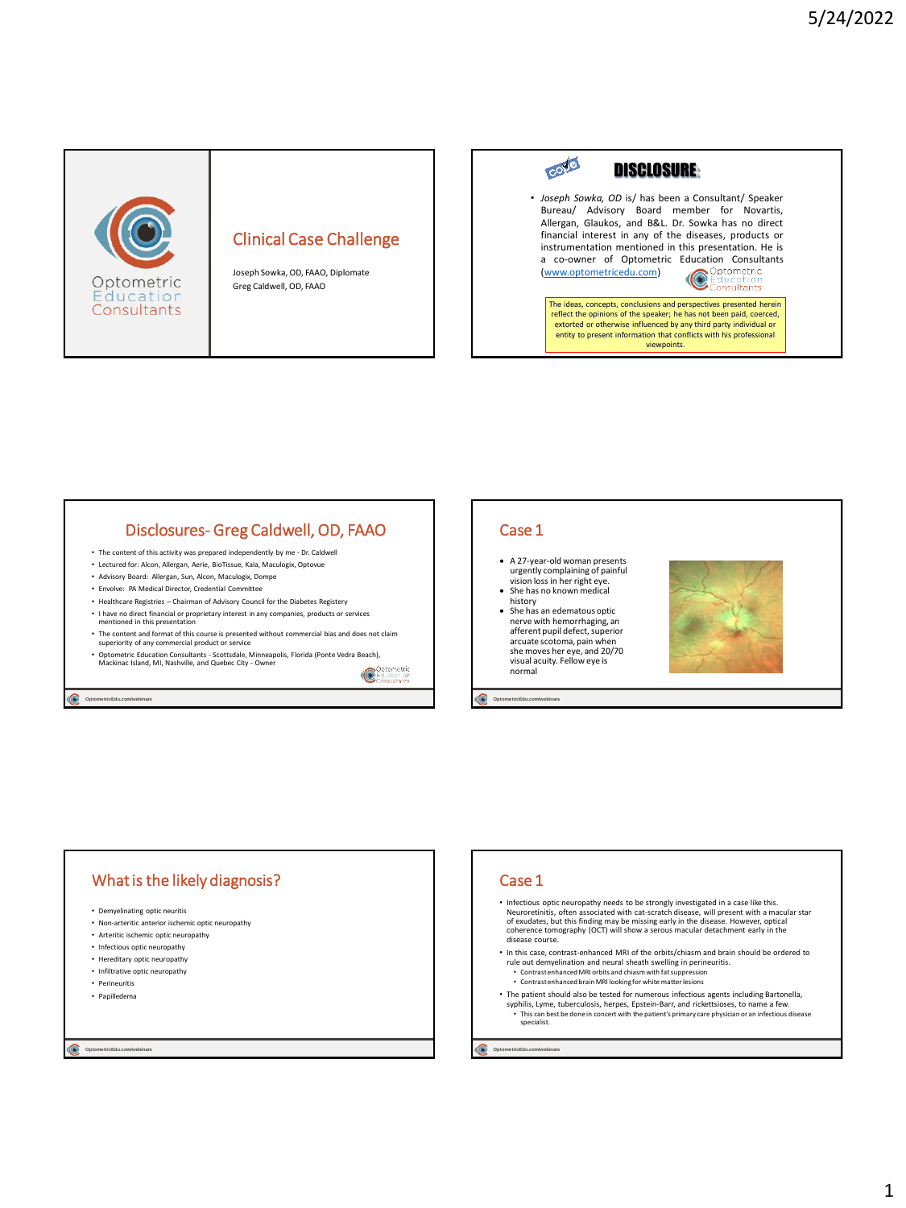

## Clinical Case Challenge

Joseph Sowka, OD, FAAO, Diplomate Greg Caldwell, OD, FAAO



## Disclosures- Greg Caldwell, OD, FAAO

- The content of this activity was prepared independently by me Dr. Caldwell
- Lectured for: Alcon, Allergan, Aerie, BioTissue, Kala, Maculogix, Optovue • Advisory Board: Allergan, Sun, Alcon, Maculogix, Dompe
- Envolve: PA Medical Director, Credential Committee
- Healthcare Registries Chairman of Advisory Council for the Diabetes Registery
- I have no direct financial or proprietary interest in any companies, products or services mentioned in this presentation
- The content and format of this course is presented without commercial bias and does not claim superiority of any commercial product or service
- Optometric Education Consultants Scottsdale, Minneapolis, Florida (Ponte Vedra Beach), Mackinac Island, MI, Nashville, and Quebec City Owner  $\bullet$

**Optome tricEdu.com/webinars**

## Case 1

- A 27-year-old woman presents urgently complaining of painful vision loss in her right eye.
- She has no known medical history
- She has an edematous optic nerve with hemorrhaging, an afferent pupil defect, superior arcuate scotoma, pain when she moves her eye, and 20/70 visual acuity. Fellow eye is normal

**Optome tricEdu.com/webinars**



# What is the likely diagnosis?

- Demyelinating optic neuritis
- Non-arteritic anterior ischemic optic neuropathy
- Arteritic ischemic optic neuropathy
- Infectious optic neuropathy
- Hereditary optic neuropathy
- Infiltrative optic neuropathy • Perineuritis
- Papilledema

**Optome tricEdu.com/webinars**

### Case 1

- Infectious optic neuropathy needs to be strongly investigated in a case like this. Neuroretinitis, often associated with cat-scratch disease, will present with a macular star<br>of exudates, but this finding may be missing early in the disease. However, optical<br>coherence tomography (OCT) will show a serous disease course.
- In this case, contrast-enhanced MRI of the orbits/chiasm and brain should be ordered to rule out demyelination and neural sheath swelling in perineuritis. • Contrast enhanced MRI orbits and chiasm with fat suppression
	- Contrast enhanced brain MRI looking for white matter lesions
- The patient should also be tested for numerous infectious agents including Bartonella, syphilis, Lyme, tuberculosis, herpes, Epstein-Barr, and rickettsioses, to name a few. • This can best be done in concert with the patient's primary care physician or an infectious disease specialist.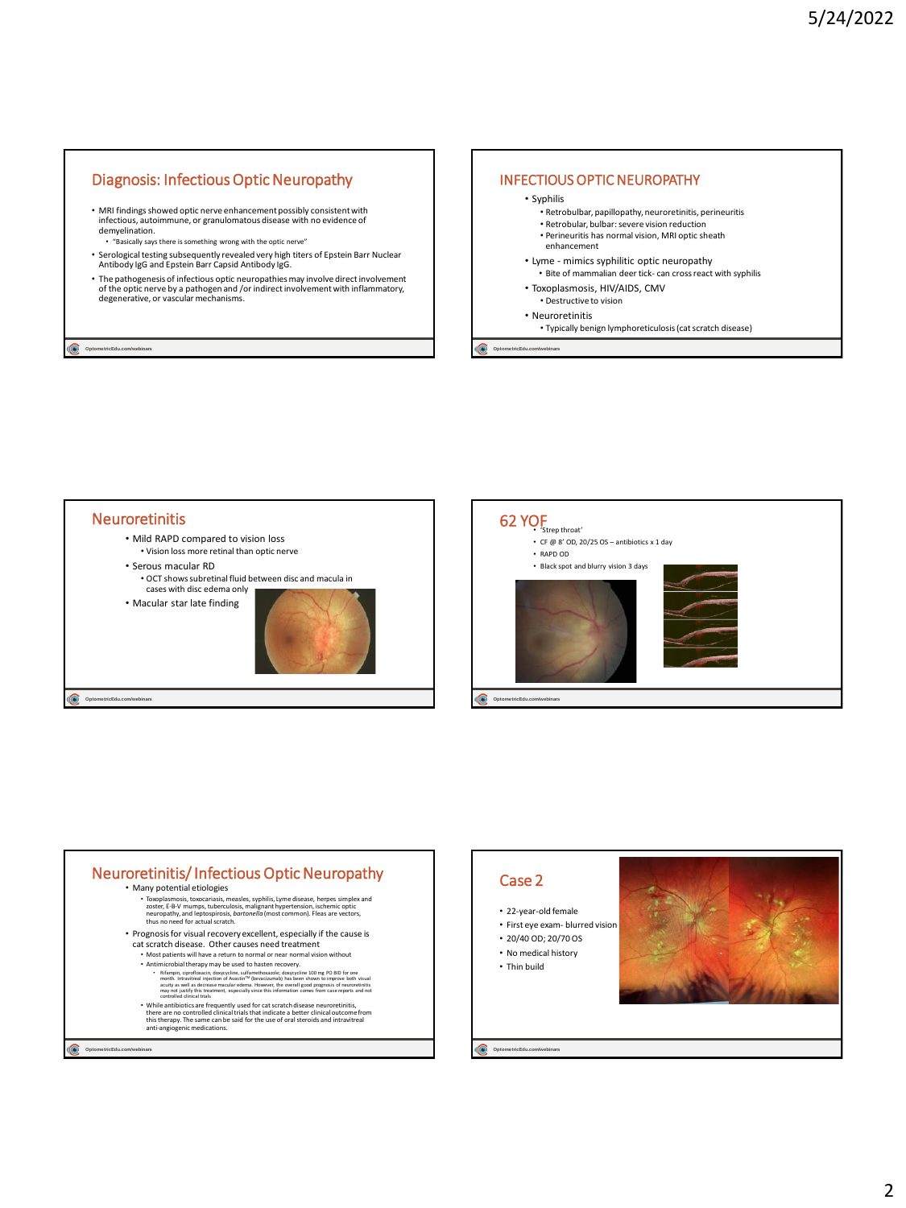## Diagnosis: Infectious Optic Neuropathy

- MRI findings showed optic nerve enhancement possibly consistent with infectious, autoimmune, or granulomatous disease with no evidence of demyelination.<br>
"Basically care
- "Basically says there is something wrong with the optic nerve"
- Serological testing subsequently revealed very high titers of Epstein Barr Nuclear Antibody IgG and Epstein Barr Capsid Antibody IgG.
- The pathogenesis of infectious optic neuropathies may involve direct involvement of the optic nerve by a pathogen and /or indirect involvement with inflammatory, degenerative, or vascular mechanisms.

**Optome tricEdu.com/webinars**

#### INFECTIOUS OPTIC NEUROPATHY

#### • Syphilis

- Retrobulbar, papillopathy, neuroretinitis, perineuritis
- Retrobular, bulbar: severe vision reduction • Perineuritis has normal vision, MRI optic sheath
- enhancement
- Lyme mimics syphilitic optic neuropathy
- Bite of mammalian deer tick- can cross react with syphilis
- Toxoplasmosis, HIV/AIDS, CMV • Destructive to vision
- Neuroretinitis
	- Typically benign lymphoreticulosis(cat scratch disease)

**Optome tricEdu.com/webinars**





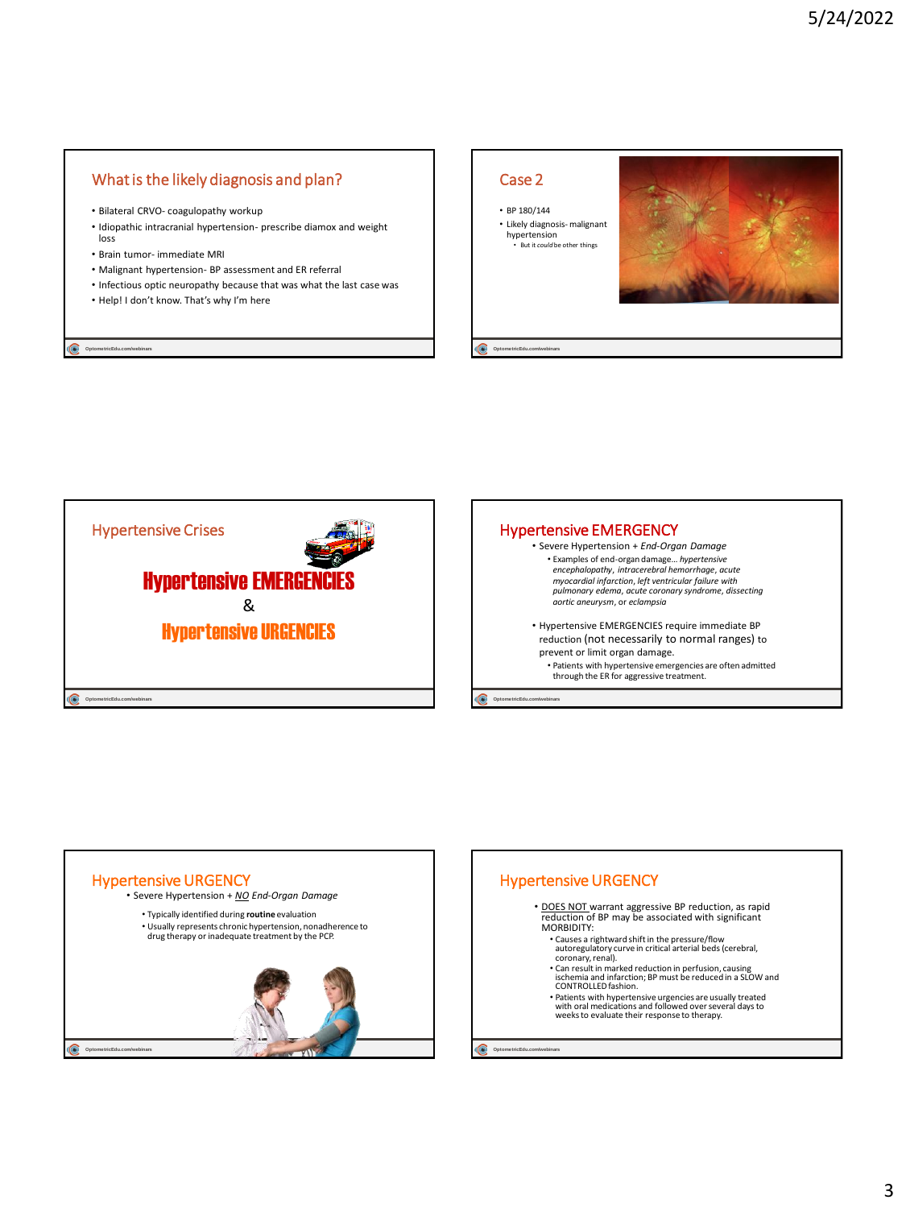## What is the likely diagnosis and plan?

- Bilateral CRVO- coagulopathy workup
- Idiopathic intracranial hypertension- prescribe diamox and weight loss
- Brain tumor- immediate MRI
- Malignant hypertension- BP assessment and ER referral
- Infectious optic neuropathy because that was what the last case was • Help! I don't know. That's why I'm here

**Optome tricEdu.com/webinars**

#### Case 2

**Optome tricEdu.com/webinars**

C

• BP 180/144 • Likely diagnosis- malignant hypertension • But it *could* be other things







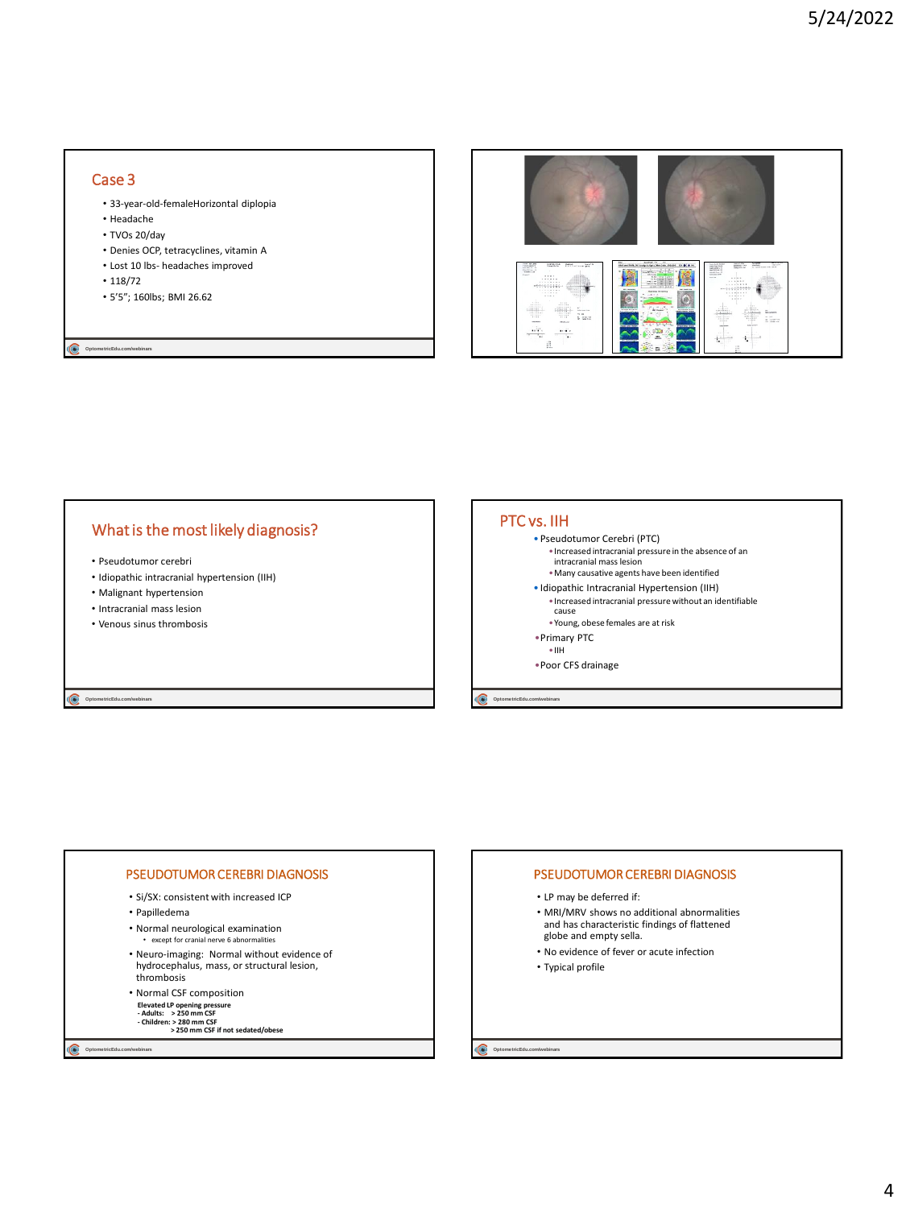## Case 3

- 33-year-old-femaleHorizontal diplopia
- Headache
- TVOs 20/day
- Denies OCP, tetracyclines, vitamin A
- Lost 10 lbs- headaches improved
- 118/72

**Optome tricEdu.com/webinars**

• 5'5"; 160lbs; BMI 26.62



## What is the most likely diagnosis?

- Pseudotumor cerebri
- Idiopathic intracranial hypertension (IIH)
- Malignant hypertension
- Intracranial mass lesion
- Venous sinus thrombosis

**OptometricEdu.com/webin** 

#### PTC vs. IIH

- Pseudotumor Cerebri (PTC)
- •Increased intracranial pressure in the absence of an intracranial mass lesion
- •Many causative agents have been identified
- Idiopathic Intracranial Hypertension (IIH) •Increased intracranial pressure without an identifiable
- cause •Young, obese females are at risk
- •Primary PTC
- •IIH
- •Poor CFS drainage

**OptometricEdu.com/** 

#### PSEUDOTUMOR CEREBRI DIAGNOSIS

- Si/SX: consistent with increased ICP
- Papilledema
- Normal neurological examination
- except for cranial nerve 6 abnormalities
- Neuro-imaging: Normal without evidence of hydrocephalus, mass, or structural lesion, thrombosis
- Normal CSF composition
- **Elevated LP opening pressure - Adults: > 250 mm CSF**
- 
- **- Children: > 280 mm CSF > 250 mm CSF if not sedated/obese**

**Optome tricEdu.com/webinars**

#### PSEUDOTUMOR CEREBRI DIAGNOSIS

- LP may be deferred if:
- MRI/MRV shows no additional abnormalities and has characteristic findings of flattened globe and empty sella.
- No evidence of fever or acute infection
- Typical profile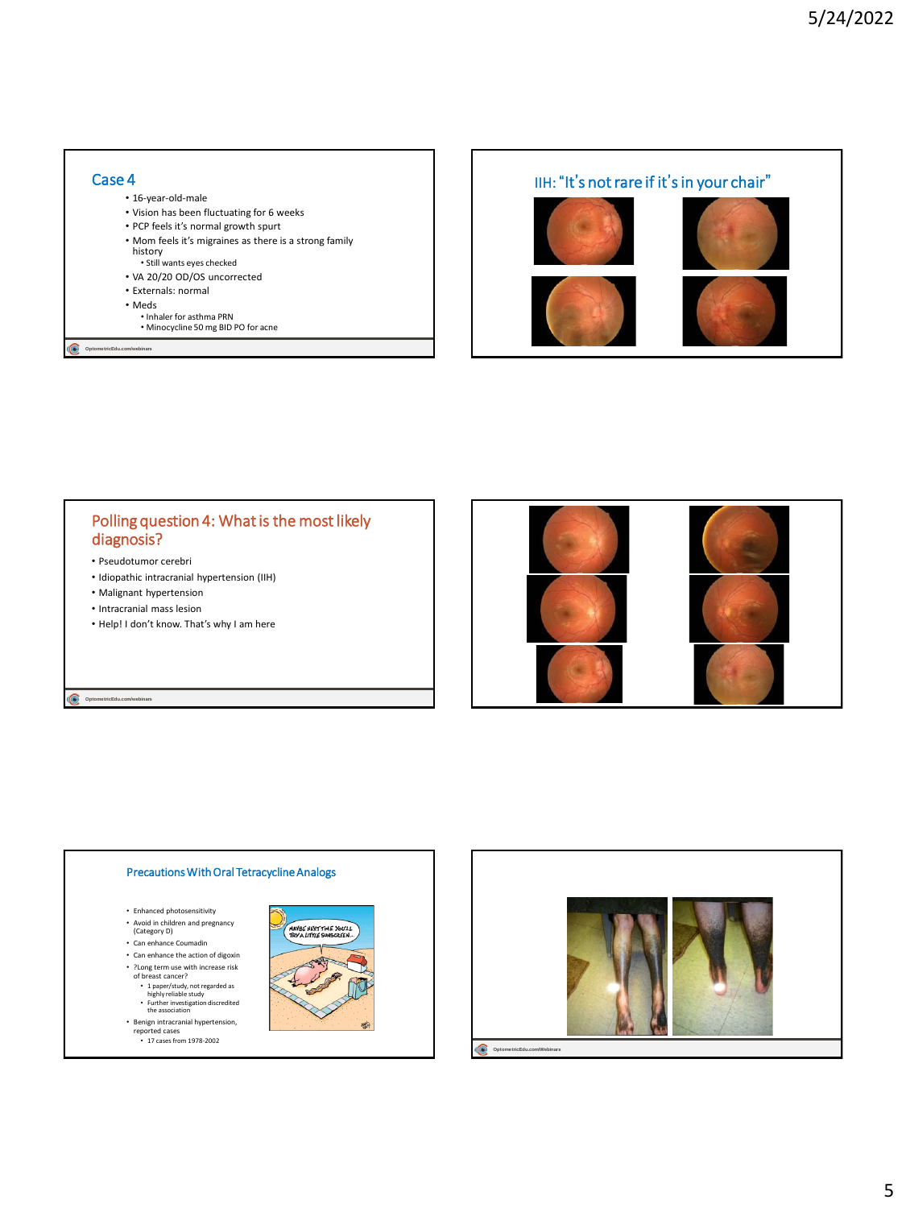#### **Optome tricEdu.com/webinars** Case 4 • 16-year-old-male • Vision has been fluctuating for 6 weeks • PCP feels it's normal growth spurt • Mom feels it's migraines as there is a strong family history • Still wants eyes checked • VA 20/20 OD/OS uncorrected • Externals: normal • Meds • Inhaler for asthma PRN • Minocycline 50 mg BID PO for acne



## Polling question 4: What is the most likely diagnosis?

- Pseudotumor cerebri
- Idiopathic intracranial hypertension (IIH)
- Malignant hypertension

**Optome tricEdu.com/webinars**

- Intracranial mass lesion
- Help! I don't know. That's why I am here



#### Precautions With Oral Tetracycline Analogs

- Enhanced photosensitivity
- Avoid in children and pregnancy (Category D)
- Can enhance Coumadin
- Can enhance the action of digoxin
- ?Long term use with increase risk of breast cancer?
- 
- 1 paper/study, not regarded as highly reliable study Further investigation discredited the association
- Benign intracranial hypertension, reported cases 17 cases from 1978-2002



MAYBE NEXT TIME YOU'LL

寧

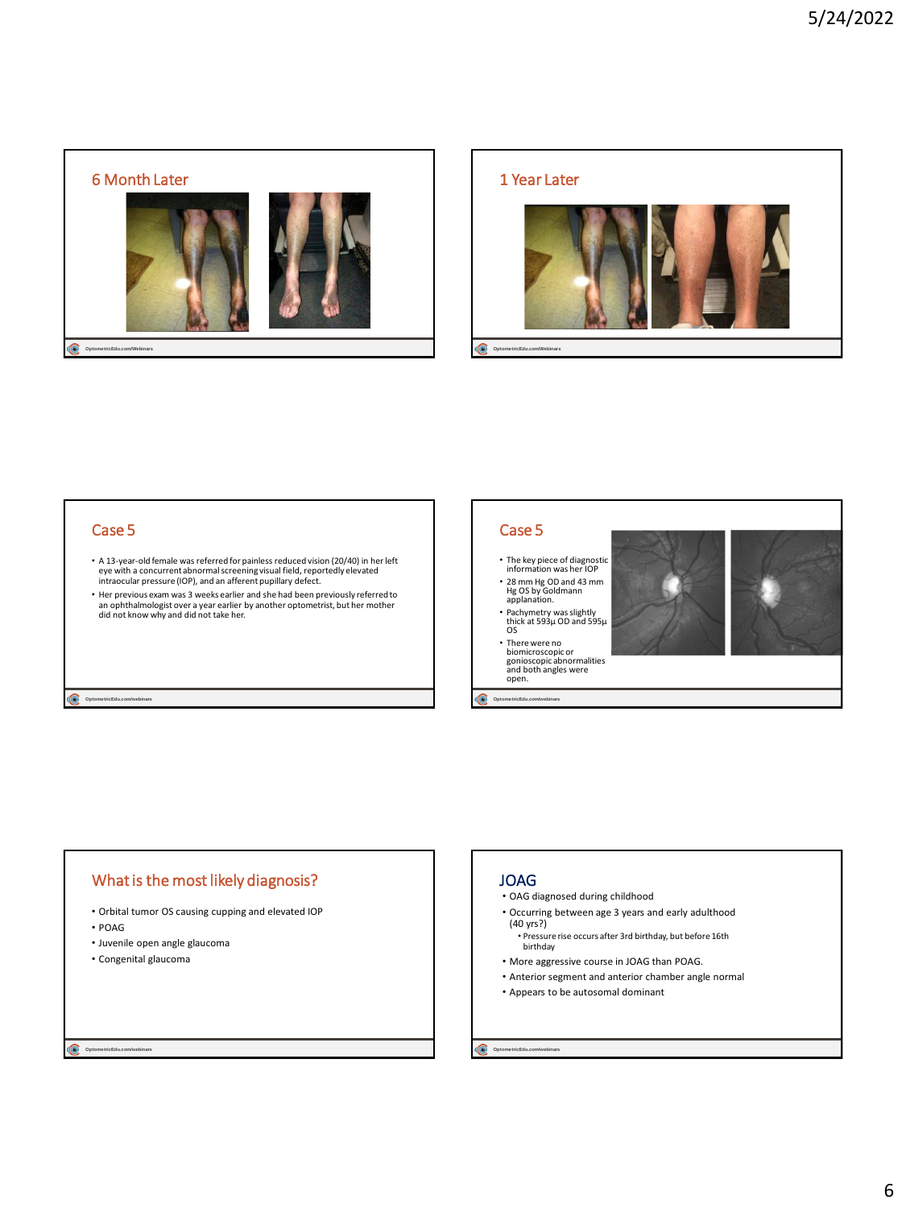



## Case 5

- A 13-year-old female was referred for painless reduced vision (20/40) in her left eye with a concurrent abnormal screening visual field, reportedly elevated intraocular pressure (IOP), and an afferent pupillary defect.
- Her previous exam was 3 weeks earlier and she had been previously referred to an ophthalmologist over a year earlier by another optometrist, but her mother did not know why and did not take her.

#### **Optome tricEdu.com/webinars**

## Case 5

- The key piece of diagnostic information was her IOP
- 28 mm Hg OD and 43 mm Hg OS by Goldmann applanation.
- Pachymetry was slightly thick at 593µ OD and 595µ OS
- There were no biomicroscopic or gonioscopic abnormalities and both angles were open.

#### G **Optome tricEdu.com/webinars**

## What is the most likely diagnosis?

- Orbital tumor OS causing cupping and elevated IOP
- POAG
- Juvenile open angle glaucoma
- Congenital glaucoma

#### Q. **Optome tricEdu.com/webinars**

### JOAG

- OAG diagnosed during childhood
- Occurring between age 3 years and early adulthood (40 yrs?)
- Pressure rise occurs after 3rd birthday, but before 16th birthday
- More aggressive course in JOAG than POAG. • Anterior segment and anterior chamber angle normal
- 
- Appears to be autosomal dominant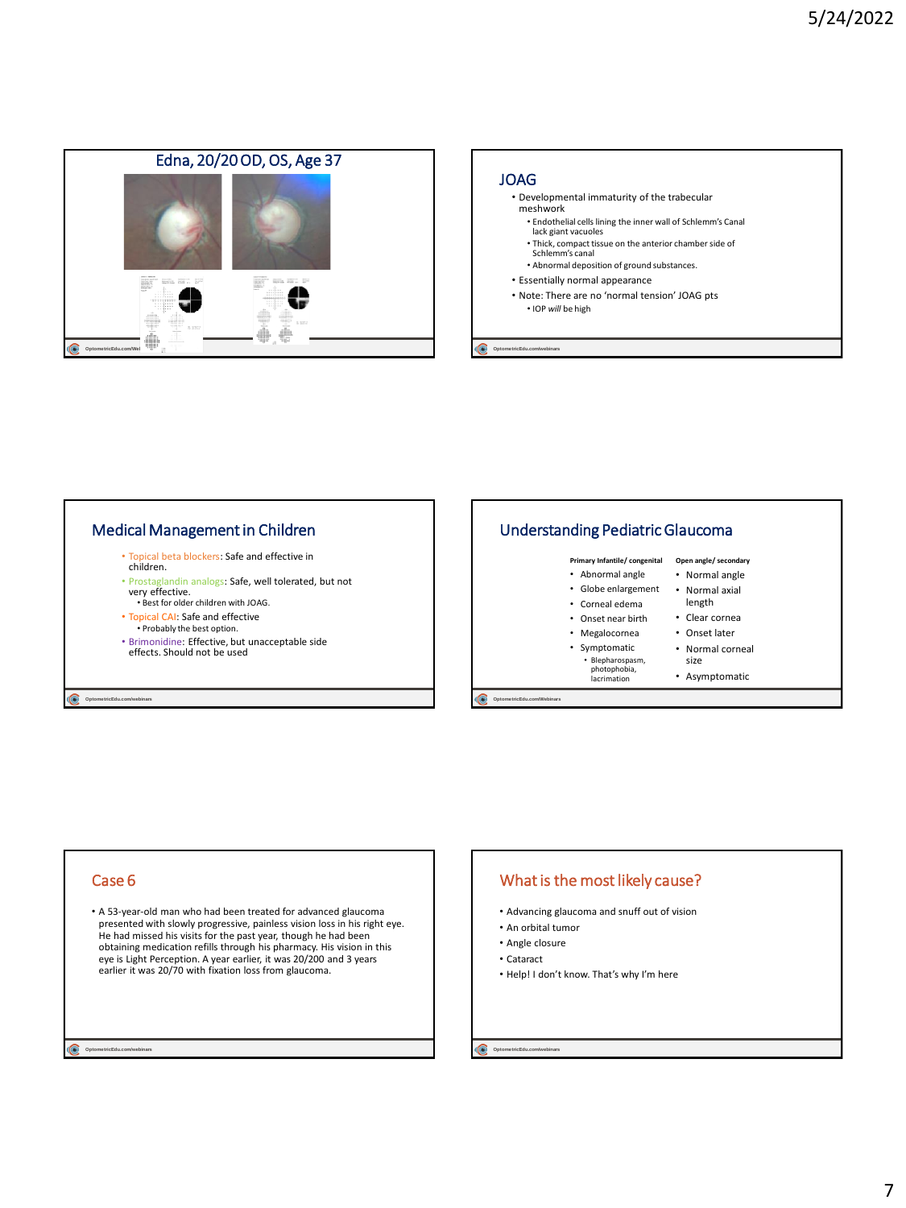

### JOAG

- Developmental immaturity of the trabecular meshwork
	- Endothelial cells lining the inner wall of Schlemm's Canal lack giant vacuoles
	- Thick, compact tissue on the anterior chamber side of Schlemm's canal
	- Abnormal deposition of ground substances.
- Essentially normal appearance
- Note: There are no 'normal tension' JOAG pts • IOP *will* be high

**Optome tricEdu.com/webinars**



#### Case 6

• A 53-year-old man who had been treated for advanced glaucoma presented with slowly progressive, painless vision loss in his right eye. He had missed his visits for the past year, though he had been obtaining medication refills through his pharmacy. His vision in this eye is Light Perception. A year earlier, it was 20/200 and 3 years earlier it was 20/70 with fixation loss from glaucoma.

**Optome tricEdu.com/webinars**

## What is the most likely cause?

- Advancing glaucoma and snuff out of vision
- An orbital tumor
- Angle closure
- Cataract
- Help! I don't know. That's why I'm here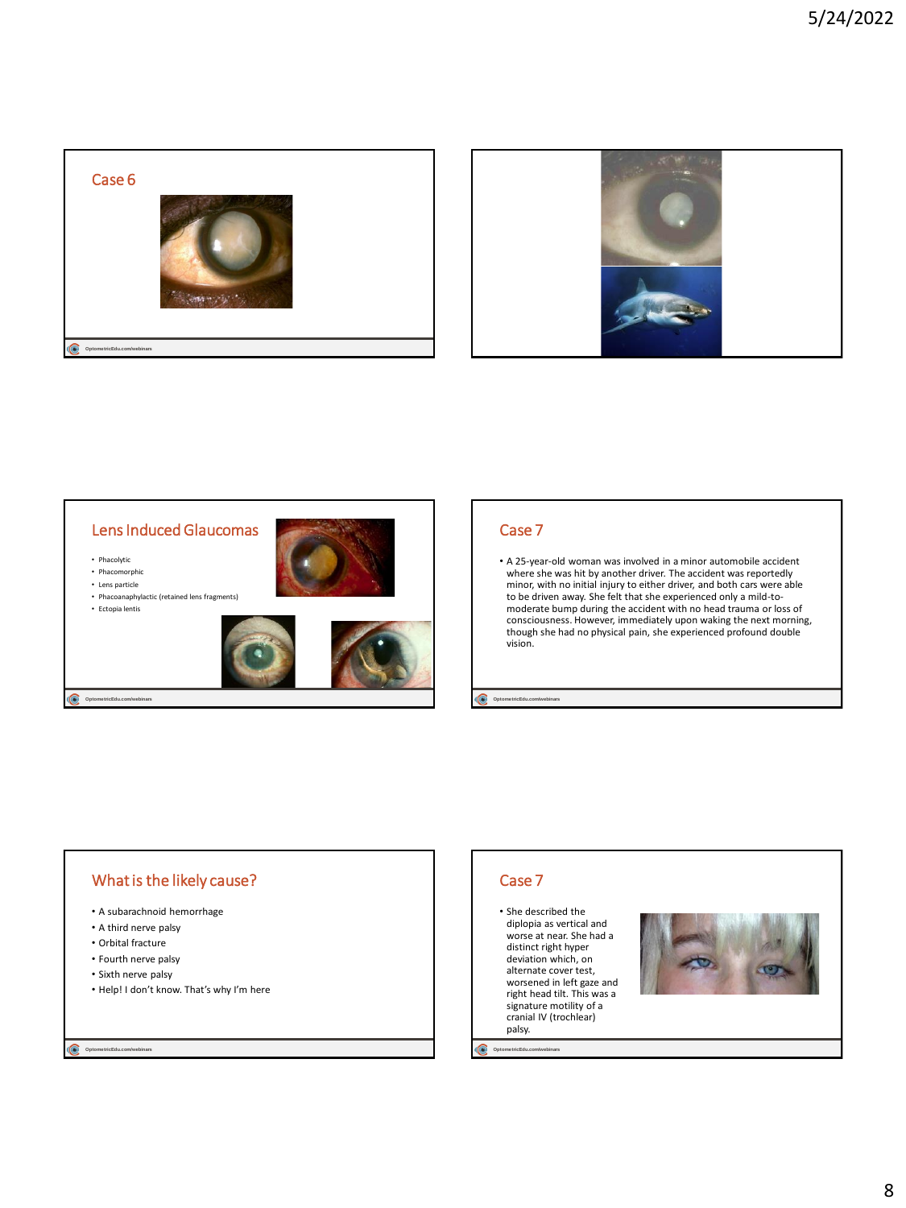



## Lens Induced Glaucomas

• Phacolytic

- Phacomorphic
- Lens particle
- Phacoanaphylactic (retained lens fragments)





**OptometricEdu.com** 

## Case 7

• A 25-year-old woman was involved in a minor automobile accident where she was hit by another driver. The accident was reportedly minor, with no initial injury to either driver, and both cars were able to be driven away. She felt that she experienced only a mild-tomoderate bump during the accident with no head trauma or loss of consciousness. However, immediately upon waking the next morning, though she had no physical pain, she experienced profound double vision.

**OptometricEdu.com/** 

#### What is the likely cause? • A subarachnoid hemorrhage • Help! I don't know. That's why I'm here Case 7 • She described the diplopia as vertical and worse at near. She had a distinct right hyper deviation which, on alternate cover test, worsened in left gaze and right head tilt. This was a signature motility of a cranial IV (trochlear) palsy.

**Optome tricEdu.com/webinars**

**Optome tricEdu.com/webinars**

• A third nerve palsy • Orbital fracture • Fourth nerve palsy • Sixth nerve palsy

8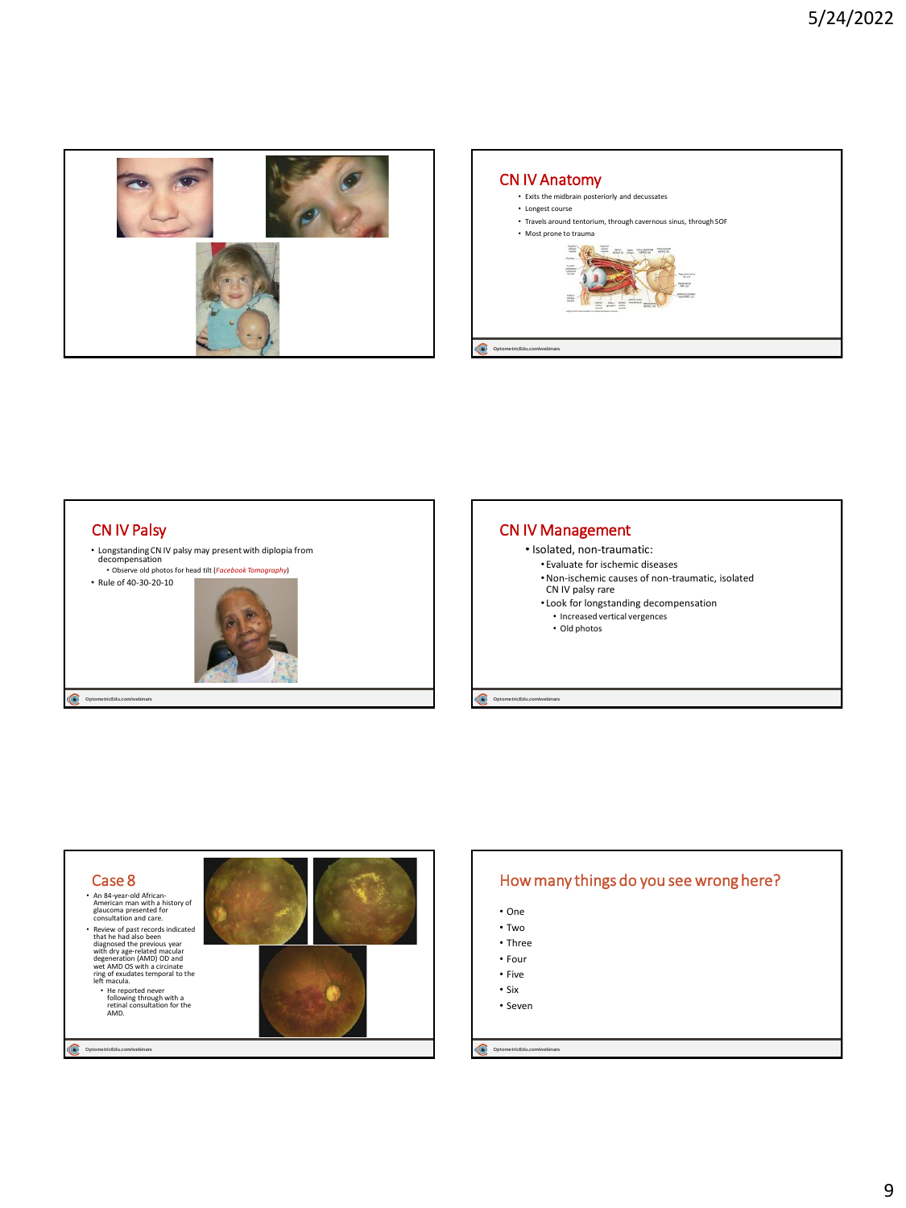







## How many things do you see wrong here?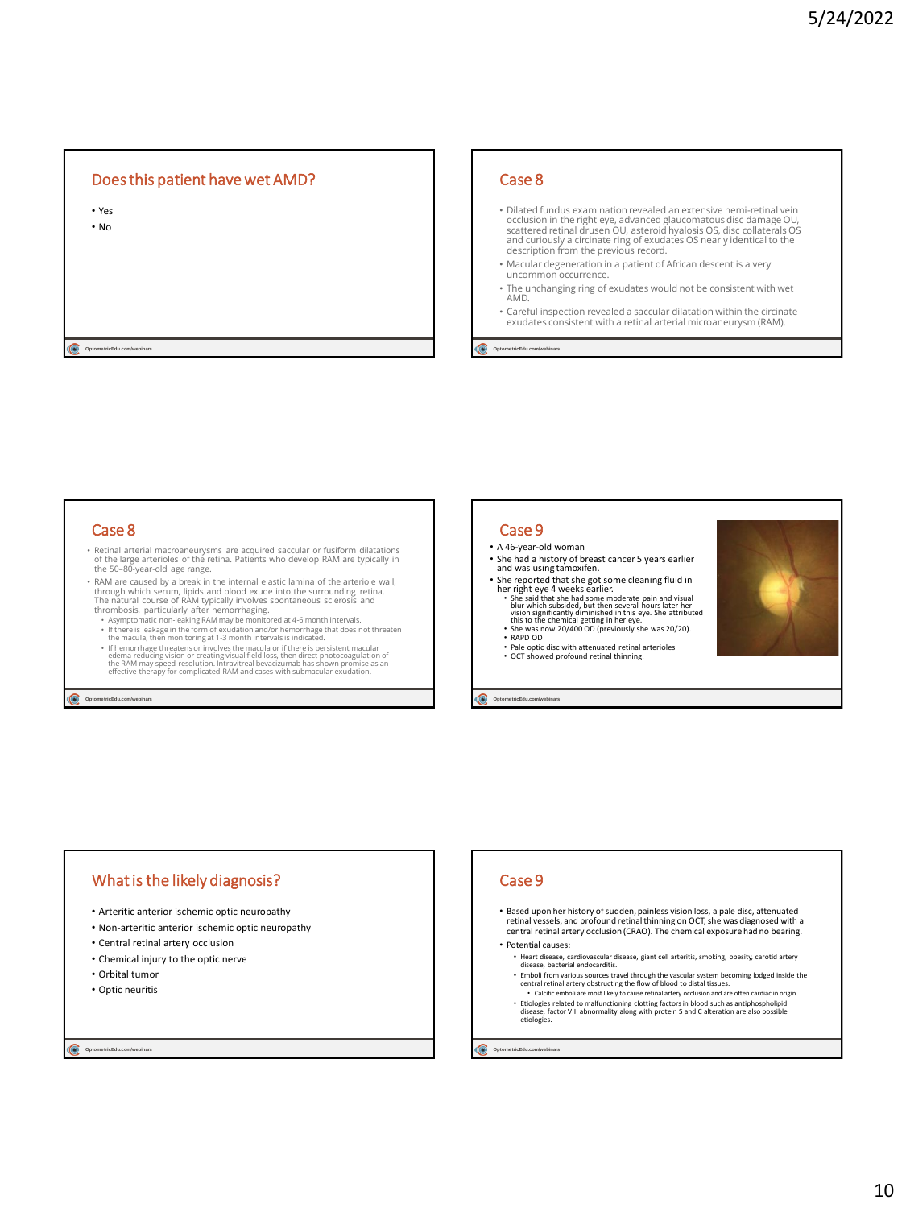## Does this patient have wet AMD?

• Yes • No

 $\odot$  opto

#### Case 8

- Dilated fundus examination revealed an extensive hemi-retinal vein occlusion in the right eye, advanced glaucomatous disc damage OU, scattered retinal drusen OU, asteroid hyalosis OS, disc collaterals OS and curiously a circinate ring of exudates OS nearly identical to the description from the previous record.
- Macular degeneration in a patient of African descent is a very uncommon occurrence.
- The unchanging ring of exudates would not be consistent with wet AMD.
- Careful inspection revealed a saccular dilatation within the circinate exudates consistent with a retinal arterial microaneurysm (RAM).

**Optome tricEdu.com/webinars**

## Case 8

- Retinal arterial macroaneurysms are acquired saccular or fusiform dilatations of the large arterioles of the retina. Patients who develop RAM are typically in the 50–80-year-old age range.
- RAM are caused by a break in the internal elastic lamina of the arteriole wall, through which serum, lipids and blood exude into the surrounding retina.<br>The natural course of RAM typically involves spontaneous sclerosis
- 
- 
- F there is leakage in the form of exudation and/or hemorrhage that does not threaten<br>the macula, then monitoring at 1-3 month intervals is indicated.<br>Hemorrhage threatens or involves the macula or if there is persistent ma

**Optome tricEdu.com/webinars**

## Case 9

- A 46-year-old woman
- She had a history of breast cancer 5 years earlier and was using tamoxifen.
- She reported that she got some cleaning fluid in her right eye 4 weeks earlier.
- She said that she had some moderate pain and visual<br>blur which subsided, but then several hours later her<br>vision significantly diminished in this eye. She attributed<br>this to the chemical getting in her eye.<br>• She was now
- RAPD OD
- 
- Pale optic disc with attenuated retinal arterioles OCT showed profound retinal thinning.

**Optome tricEdu.com/webinars**



## What is the likely diagnosis?

- Arteritic anterior ischemic optic neuropathy
- Non-arteritic anterior ischemic optic neuropathy
- Central retinal artery occlusion
- Chemical injury to the optic nerve
- Orbital tumor
- Optic neuritis

**Optome tricEdu.com/webinars**

#### Case 9

• Based upon her history of sudden, painless vision loss, a pale disc, attenuated retinal vessels, and profound retinal thinning on OCT, she was diagnosed with a central retinal artery occlusion (CRAO). The chemical exposure had no bearing.

#### • Potential causes:

- Heart disease, cardiovascular disease, giant cell arteritis, smoking, obesity, carotid artery disease, bacterial endocarditis. • Emboli from various sources travel through the vascular system becoming lodged inside the
- central retinal artery obstructing the flow of blood to distal tissues.
- Calcific emboli are most likely to cause retinal artery occlusion and are often cardiac in origin.<br>Etiologies related to malfunctioning clotting factors in blood such as antiphospholipid<br>disease, factor VIII abnormality al etiologies.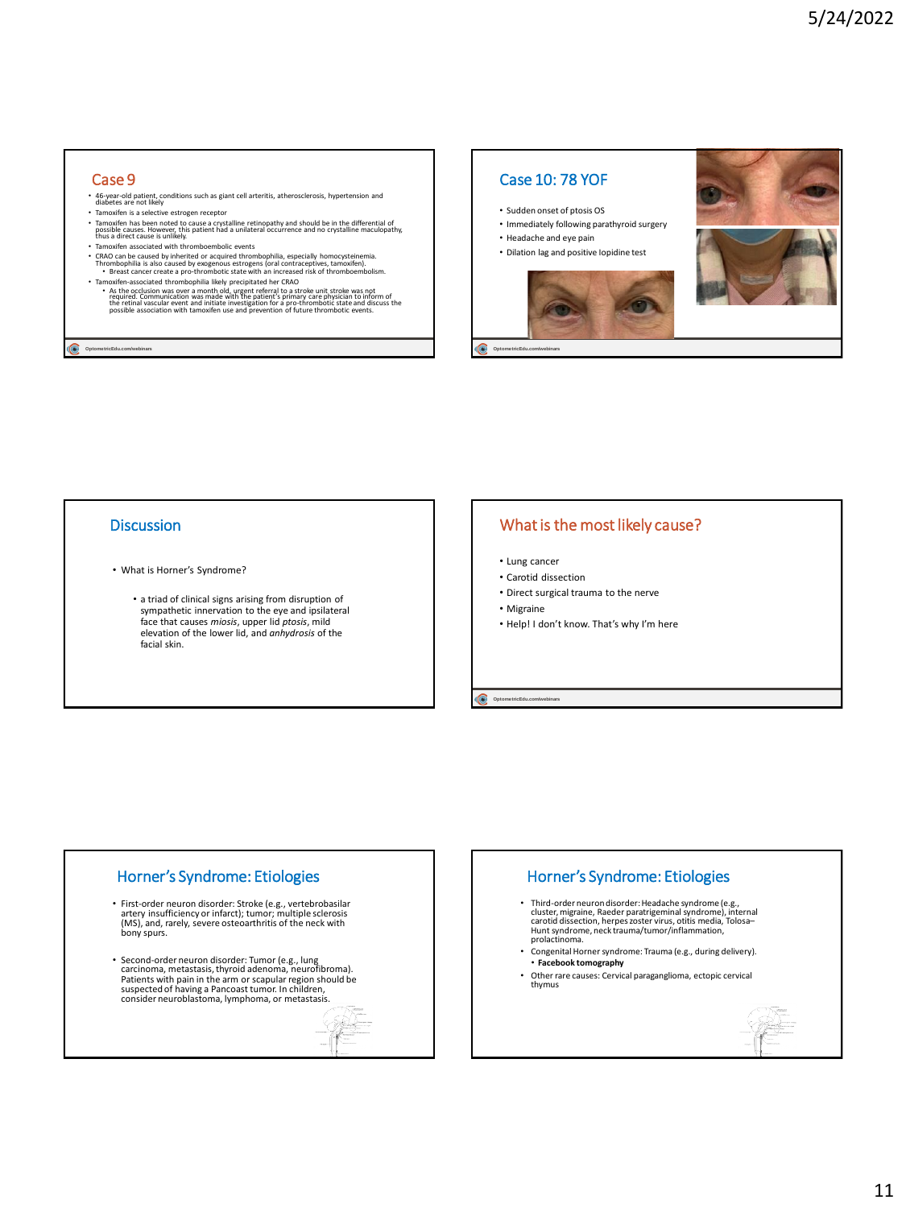### Case 9

- 46-year-old patient, conditions such as giant cell arteritis, atherosclerosis, hypertension and diabetes are not likely
- Tamoxifen is a selective estrogen receptor
- Tamoxifen has been noted to cause a crystalline retinopathy and should be in the differential of<br>possible causes. However, this patient had a unilateral occurrence and no crystalline maculopathy,<br>thus a direct cause is u
- 
- CRAO can be caused by inherited or acquired thrombophilia, especially homocysteinemia. Thrombophilia is also caused by exogenous estrogens (oral contraceptives, tamoxifen). • Breast cancer create a pro-thrombotic state with an increased risk of thromboembolism.
- Tamoxifen-associated thrombophilia likely precipitated her CRAO<br>As the occulusion was over a month old, urgent referral to a stroke unit stroke was not<br>required. Communication was made with the patient's primary care physi

**Optome tricEdu.com/webinars**

## Case 10: 78 YOF

- Sudden onset of ptosis OS
- Immediately following parathyroid surgery
- Headache and eye pain
- Dilation lag and positive Iopidine test



C **Optome tricEdu.com/webinars**

#### **Discussion**

- What is Horner's Syndrome?
	- a triad of clinical signs arising from disruption of sympathetic innervation to the eye and ipsilateral face that causes *miosis*, upper lid *ptosis*, mild elevation of the lower lid, and *anhydrosis* of the facial skin.

## What is the most likely cause?

- Lung cancer
- Carotid dissection
- Direct surgical trauma to the nerve
- Migraine
- Help! I don't know. That's why I'm here

OptometricEdu.com/

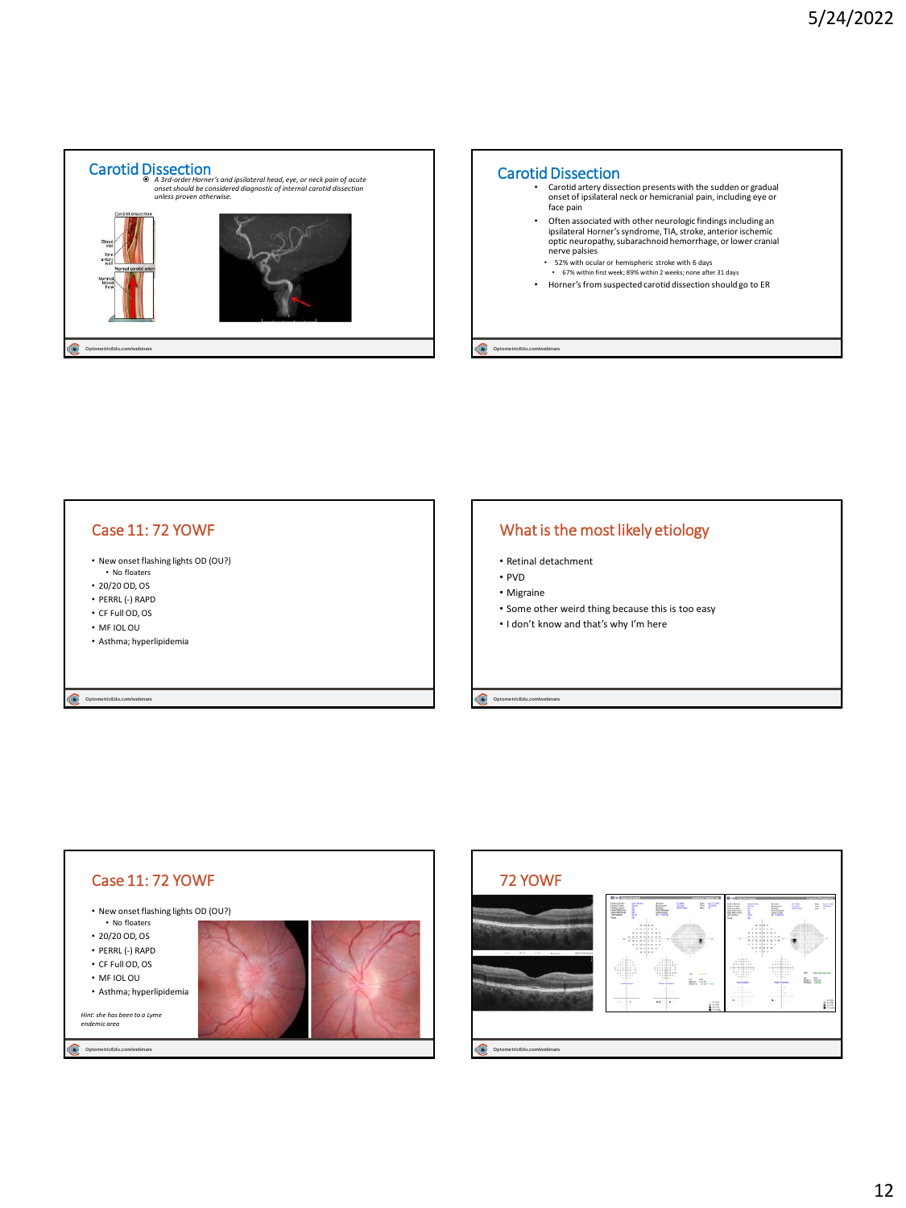

# **Optome tricEdu.com/webinars** Carotid Dissection • Carotid artery dissection presents with the sudden or gradual onset of ipsilateral neck or hemicranial pain, including eye or face pain • Often associated with other neurologic findings including an ipsilateral Horner's syndrome, TIA, stroke, anterior ischemic optic neuropathy, subarachnoid hemorrhage, or lower cranial nerve palsies • 52% with ocular or hemispheric stroke with 6 days • 67% within first week; 89% within 2 weeks; none after 31 days • Horner's from suspected carotid dissection should go to ER

## Case 11: 72 YOWF

- New onset flashing lights OD (OU?) • No floaters
- 20/20 OD, OS
- PERRL (-) RAPD
- CF Full OD, OS
- MF IOL OU
- Asthma; hyperlipidemia

**Optome tricEdu.com/webinars**

## What is the most likely etiology

- Retinal detachment
- PVD
- Migraine
- Some other weird thing because this is too easy
- I don't know and that's why I'm here

**OptometricEdu.com/**